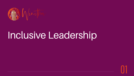

# Inclusive Leadership



01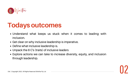

# **Todays outcomes**



- Understand what keeps us stuck when it comes to leading with inclusion.
- Get clear on why inclusive leadership is imperative.
- Define what inclusive leadership is.
- Unpack the 6 C's (traits) of inclusive leaders
- Explore actions we can take to increase diversity, equity, and inclusion through leadership.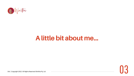

# **A little bit about me...**



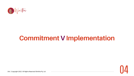

# **Commitment V Implementation**

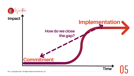



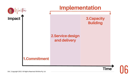

## **3.Capacity Building**



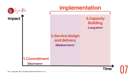07

## **3.Capacity Building (Long term)**



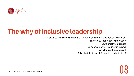

# **The why of inclusive leadership**



Galvanise team diversity creating a broader community of expertise to draw on. Transform our approach to innovation. Future proof the business. Do good, do better (leadership legacy). Have a footprint (be practive).

D&I | Copyright 2022. All Rights Reserved Winitha Pty Ltd

Solve the talent crunch (attraction and retention).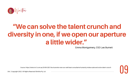

# **"We can solve the talent crunch and diversity in one, if we open our aperture a little wider."**



Emma Montgomery, CEO Leo Burnett

Source: https://www.mi-3.com.au/28-06-2021/leo-burnetts-new-ceo-well-beat-consultants-humanity-indies-scale-and-solve-talent-crunch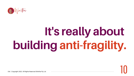

# **It's really about building anti-fragility.**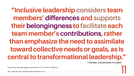**"Inclusive leadership considers team members' differences and supports their belongingness to facilitate each team member's contributions, rather than emphasize the need to assimilate toward collective needs or goals, as is central to transformational leadership."**

11

T.Ashikali, [S.Groeneveld,](https://journals.sagepub.com/doi/full/10.1177/0734371X19899722) [B.Kuipers](https://journals.sagepub.com/doi/full/10.1177/0734371X19899722)

Source: https://journals.sagepub.com/doi/full/10.1177/0734371X19899722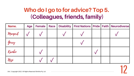## **Who do I go to for advice? Top 5. (Colleagues, friends, family)**

| Name.    | <b>Age</b> | <b>Female</b> | <b>Race</b> |  |  | Disability   First Nations   Pride   Faith   Neurodiverse |
|----------|------------|---------------|-------------|--|--|-----------------------------------------------------------|
| Margerit |            |               |             |  |  |                                                           |
| Gerry    |            |               |             |  |  |                                                           |
| Kambo    |            |               |             |  |  |                                                           |
| Nezi     |            |               |             |  |  |                                                           |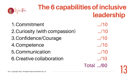- 1. Commitment ..../10
- Curiosity (with compassion) .../10 2.
- Confidence/Courage .../10 3.
- Competence .../10 4.
- Communication .../10 5.
- Creative collaboration .../10 6.

 $\log$ I | Copyright 2022. All Rights Reserved Winitha Pty Ltd  $\log$ Total .../60



# **The 6 capabilities of inclusive leadership**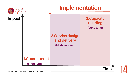

## **3.Capacity Building (Long term)**



![](_page_13_Picture_4.jpeg)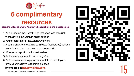![](_page_14_Picture_0.jpeg)

# **6 complimentary resources**

- 1. An e-guide on the 3 key things that keep leaders stuck when driving inclusion in organisations. **Exam the QR code & write "Inclusive Leadership" in the message box.**<br>
1. An e-guide on the 3 key things that keep leaders stuck<br>
when driving inclusion in organisations.<br>
2. Your organisational inclusion framework.<br>
3. A
	- Your organisational inclusion *framework.* 2.
	- A comprehensive roadmap with 9 key (scaffolded) actions 3.
		- to implement the *Inclusive Service Standards*.
	- 4.12 key concepts for Inclusive Leaders.
	- 5. An Inclusive leadership resource guide.
	- 6. An *inclusive leadership journal* template to develop and grow your inclusive leadership practice.

## &I | Copyright 2022. All Rights Reserved Winitha Pty Ltd 15 **Or email me at hello@winitha.com**

![](_page_14_Picture_12.jpeg)